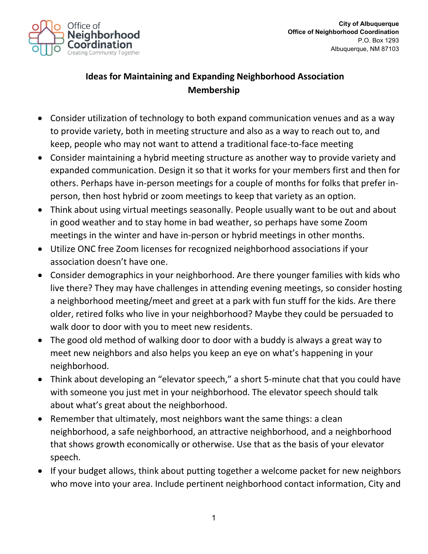

## **Ideas for Maintaining and Expanding Neighborhood Association Membership**

- Consider utilization of technology to both expand communication venues and as a way to provide variety, both in meeting structure and also as a way to reach out to, and keep, people who may not want to attend a traditional face-to-face meeting
- Consider maintaining a hybrid meeting structure as another way to provide variety and expanded communication. Design it so that it works for your members first and then for others. Perhaps have in-person meetings for a couple of months for folks that prefer inperson, then host hybrid or zoom meetings to keep that variety as an option.
- Think about using virtual meetings seasonally. People usually want to be out and about in good weather and to stay home in bad weather, so perhaps have some Zoom meetings in the winter and have in-person or hybrid meetings in other months.
- Utilize ONC free Zoom licenses for recognized neighborhood associations if your association doesn't have one.
- Consider demographics in your neighborhood. Are there younger families with kids who live there? They may have challenges in attending evening meetings, so consider hosting a neighborhood meeting/meet and greet at a park with fun stuff for the kids. Are there older, retired folks who live in your neighborhood? Maybe they could be persuaded to walk door to door with you to meet new residents.
- The good old method of walking door to door with a buddy is always a great way to meet new neighbors and also helps you keep an eye on what's happening in your neighborhood.
- Think about developing an "elevator speech," a short 5-minute chat that you could have with someone you just met in your neighborhood. The elevator speech should talk about what's great about the neighborhood.
- Remember that ultimately, most neighbors want the same things: a clean neighborhood, a safe neighborhood, an attractive neighborhood, and a neighborhood that shows growth economically or otherwise. Use that as the basis of your elevator speech.
- If your budget allows, think about putting together a welcome packet for new neighbors who move into your area. Include pertinent neighborhood contact information, City and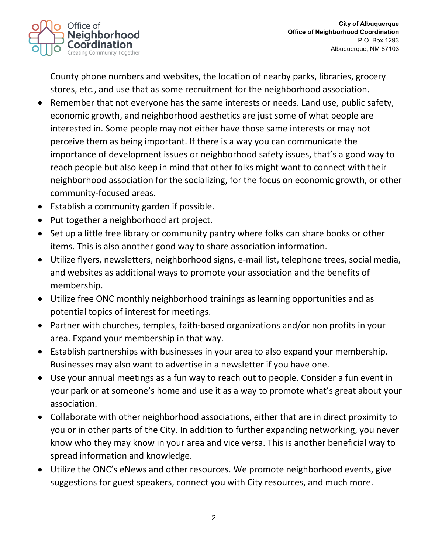

County phone numbers and websites, the location of nearby parks, libraries, grocery stores, etc., and use that as some recruitment for the neighborhood association.

- Remember that not everyone has the same interests or needs. Land use, public safety, economic growth, and neighborhood aesthetics are just some of what people are interested in. Some people may not either have those same interests or may not perceive them as being important. If there is a way you can communicate the importance of development issues or neighborhood safety issues, that's a good way to reach people but also keep in mind that other folks might want to connect with their neighborhood association for the socializing, for the focus on economic growth, or other community-focused areas.
- Establish a community garden if possible.
- Put together a neighborhood art project.
- Set up a little free library or community pantry where folks can share books or other items. This is also another good way to share association information.
- Utilize flyers, newsletters, neighborhood signs, e-mail list, telephone trees, social media, and websites as additional ways to promote your association and the benefits of membership.
- Utilize free ONC monthly neighborhood trainings as learning opportunities and as potential topics of interest for meetings.
- Partner with churches, temples, faith-based organizations and/or non profits in your area. Expand your membership in that way.
- Establish partnerships with businesses in your area to also expand your membership. Businesses may also want to advertise in a newsletter if you have one.
- Use your annual meetings as a fun way to reach out to people. Consider a fun event in your park or at someone's home and use it as a way to promote what's great about your association.
- Collaborate with other neighborhood associations, either that are in direct proximity to you or in other parts of the City. In addition to further expanding networking, you never know who they may know in your area and vice versa. This is another beneficial way to spread information and knowledge.
- Utilize the ONC's eNews and other resources. We promote neighborhood events, give suggestions for guest speakers, connect you with City resources, and much more.